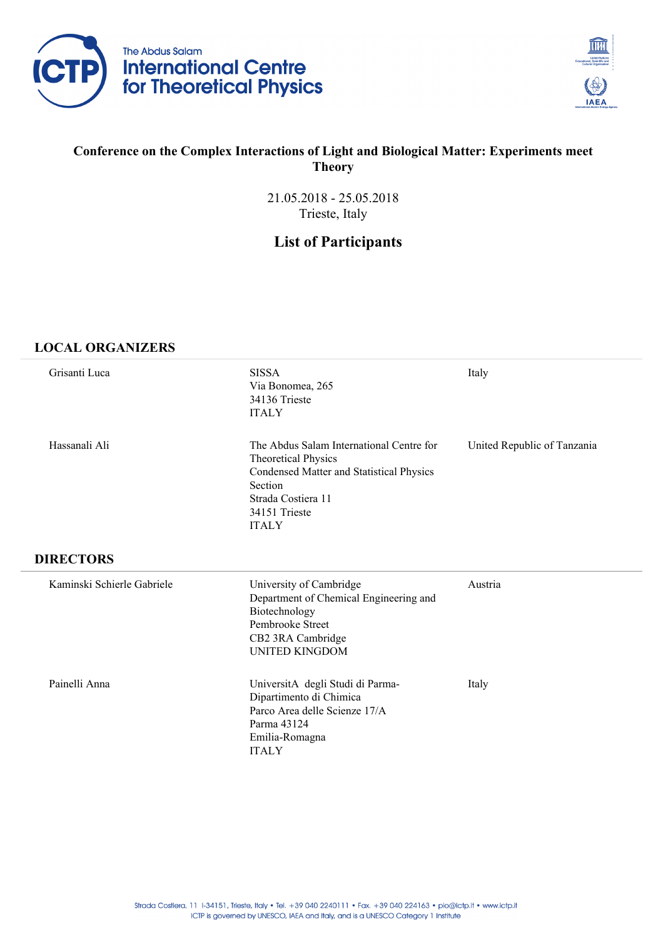



### **Conference on the Complex Interactions of Light and Biological Matter: Experiments meet Theory**

21.05.2018 - 25.05.2018 Trieste, Italy

# **List of Participants**

#### **LOCAL ORGANIZERS**

| Grisanti Luca              | <b>SISSA</b><br>Via Bonomea, 265<br>34136 Trieste<br><b>ITALY</b>                                                                                                                    | Italy                       |
|----------------------------|--------------------------------------------------------------------------------------------------------------------------------------------------------------------------------------|-----------------------------|
| Hassanali Ali              | The Abdus Salam International Centre for<br><b>Theoretical Physics</b><br>Condensed Matter and Statistical Physics<br>Section<br>Strada Costiera 11<br>34151 Trieste<br><b>ITALY</b> | United Republic of Tanzania |
| <b>DIRECTORS</b>           |                                                                                                                                                                                      |                             |
| Kaminski Schierle Gabriele | University of Cambridge<br>Department of Chemical Engineering and<br>Biotechnology<br>Pembrooke Street<br>CB2 3RA Cambridge<br><b>UNITED KINGDOM</b>                                 | Austria                     |
| Painelli Anna              | UniversitA degli Studi di Parma-<br>Dipartimento di Chimica<br>Parco Area delle Scienze 17/A<br>Parma 43124<br>Emilia-Romagna<br><b>ITALY</b>                                        | Italy                       |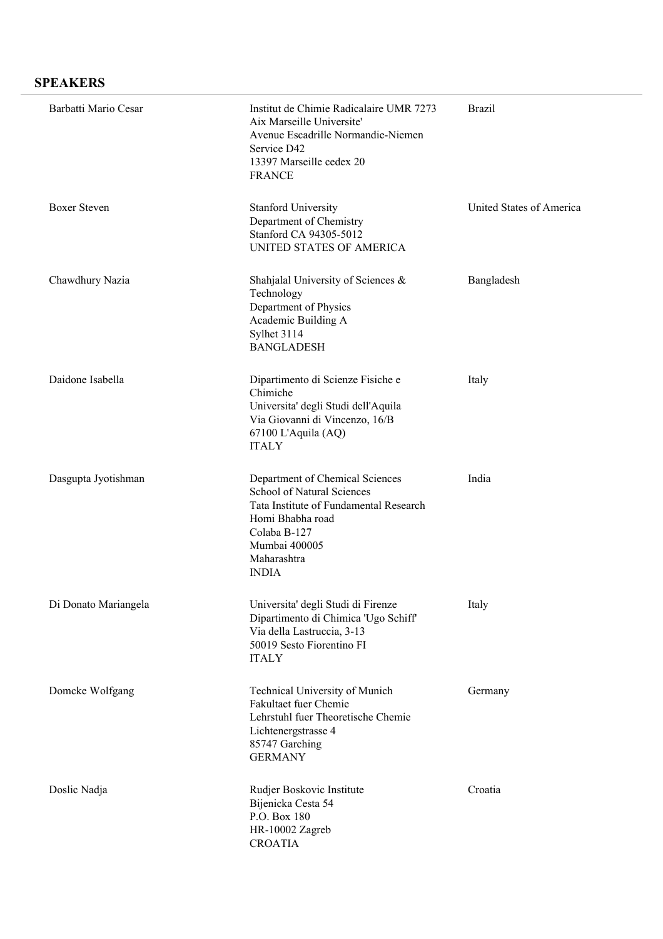### **SPEAKERS**

| Barbatti Mario Cesar | Institut de Chimie Radicalaire UMR 7273<br>Aix Marseille Universite'<br>Avenue Escadrille Normandie-Niemen<br>Service D42<br>13397 Marseille cedex 20<br><b>FRANCE</b>                      | <b>Brazil</b>            |
|----------------------|---------------------------------------------------------------------------------------------------------------------------------------------------------------------------------------------|--------------------------|
| <b>Boxer Steven</b>  | <b>Stanford University</b><br>Department of Chemistry<br>Stanford CA 94305-5012<br>UNITED STATES OF AMERICA                                                                                 | United States of America |
| Chawdhury Nazia      | Shahjalal University of Sciences $\&$<br>Technology<br>Department of Physics<br>Academic Building A<br>Sylhet 3114<br><b>BANGLADESH</b>                                                     | Bangladesh               |
| Daidone Isabella     | Dipartimento di Scienze Fisiche e<br>Chimiche<br>Universita' degli Studi dell'Aquila<br>Via Giovanni di Vincenzo, 16/B<br>67100 L'Aquila (AQ)<br><b>ITALY</b>                               | Italy                    |
| Dasgupta Jyotishman  | Department of Chemical Sciences<br>School of Natural Sciences<br>Tata Institute of Fundamental Research<br>Homi Bhabha road<br>Colaba B-127<br>Mumbai 400005<br>Maharashtra<br><b>INDIA</b> | India                    |
| Di Donato Mariangela | Universita' degli Studi di Firenze<br>Dipartimento di Chimica 'Ugo Schiff'<br>Via della Lastruccia, 3-13<br>50019 Sesto Fiorentino FI<br><b>ITALY</b>                                       | Italy                    |
| Domcke Wolfgang      | Technical University of Munich<br>Fakultaet fuer Chemie<br>Lehrstuhl fuer Theoretische Chemie<br>Lichtenergstrasse 4<br>85747 Garching<br><b>GERMANY</b>                                    | Germany                  |
| Doslic Nadja         | Rudjer Boskovic Institute<br>Bijenicka Cesta 54<br>P.O. Box 180<br>HR-10002 Zagreb<br><b>CROATIA</b>                                                                                        | Croatia                  |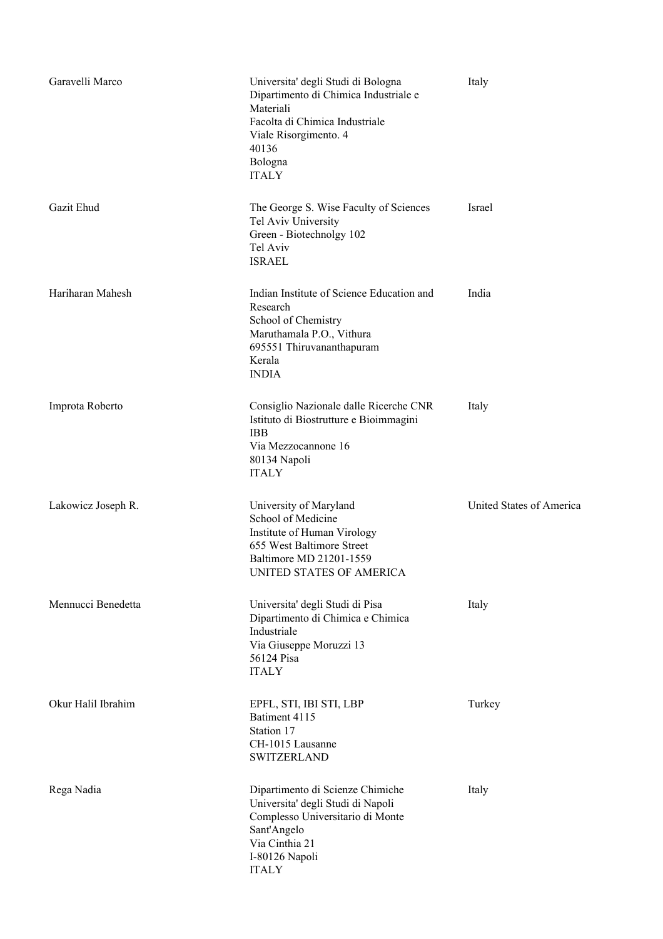| Garavelli Marco    | Universita' degli Studi di Bologna<br>Dipartimento di Chimica Industriale e<br>Materiali<br>Facolta di Chimica Industriale<br>Viale Risorgimento. 4<br>40136<br>Bologna<br><b>ITALY</b> | Italy                    |
|--------------------|-----------------------------------------------------------------------------------------------------------------------------------------------------------------------------------------|--------------------------|
| Gazit Ehud         | The George S. Wise Faculty of Sciences<br>Tel Aviv University<br>Green - Biotechnolgy 102<br>Tel Aviv<br><b>ISRAEL</b>                                                                  | Israel                   |
| Hariharan Mahesh   | Indian Institute of Science Education and<br>Research<br>School of Chemistry<br>Maruthamala P.O., Vithura<br>695551 Thiruvananthapuram<br>Kerala<br><b>INDIA</b>                        | India                    |
| Improta Roberto    | Consiglio Nazionale dalle Ricerche CNR<br>Istituto di Biostrutture e Bioimmagini<br><b>IBB</b><br>Via Mezzocannone 16<br>80134 Napoli<br><b>ITALY</b>                                   | Italy                    |
| Lakowicz Joseph R. | University of Maryland<br>School of Medicine<br>Institute of Human Virology<br>655 West Baltimore Street<br>Baltimore MD 21201-1559<br>UNITED STATES OF AMERICA                         | United States of America |
| Mennucci Benedetta | Universita' degli Studi di Pisa<br>Dipartimento di Chimica e Chimica<br>Industriale<br>Via Giuseppe Moruzzi 13<br>56124 Pisa<br><b>ITALY</b>                                            | Italy                    |
| Okur Halil Ibrahim | EPFL, STI, IBI STI, LBP<br>Batiment 4115<br>Station 17<br>CH-1015 Lausanne<br><b>SWITZERLAND</b>                                                                                        | Turkey                   |
| Rega Nadia         | Dipartimento di Scienze Chimiche<br>Universita' degli Studi di Napoli<br>Complesso Universitario di Monte<br>Sant'Angelo<br>Via Cinthia 21<br>I-80126 Napoli<br><b>ITALY</b>            | Italy                    |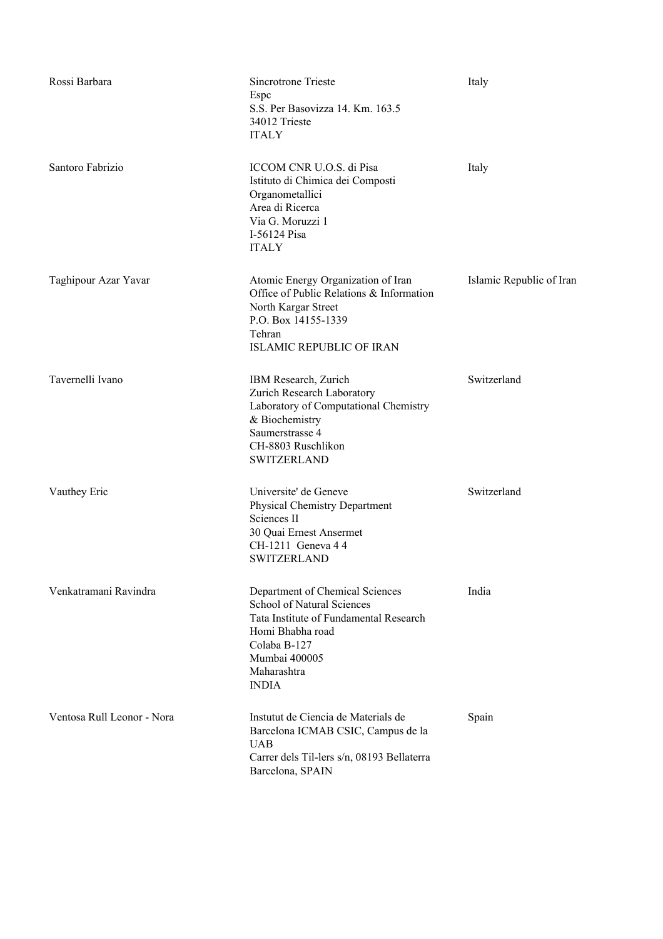| Rossi Barbara              | Sincrotrone Trieste<br>Espc<br>S.S. Per Basovizza 14. Km. 163.5<br>34012 Trieste<br><b>ITALY</b>                                                                                                   | Italy                    |
|----------------------------|----------------------------------------------------------------------------------------------------------------------------------------------------------------------------------------------------|--------------------------|
| Santoro Fabrizio           | ICCOM CNR U.O.S. di Pisa<br>Istituto di Chimica dei Composti<br>Organometallici<br>Area di Ricerca<br>Via G. Moruzzi 1<br>I-56124 Pisa<br><b>ITALY</b>                                             | Italy                    |
| Taghipour Azar Yavar       | Atomic Energy Organization of Iran<br>Office of Public Relations & Information<br>North Kargar Street<br>P.O. Box 14155-1339<br>Tehran<br><b>ISLAMIC REPUBLIC OF IRAN</b>                          | Islamic Republic of Iran |
| Tavernelli Ivano           | IBM Research, Zurich<br>Zurich Research Laboratory<br>Laboratory of Computational Chemistry<br>& Biochemistry<br>Saumerstrasse 4<br>CH-8803 Ruschlikon<br><b>SWITZERLAND</b>                       | Switzerland              |
| Vauthey Eric               | Universite' de Geneve<br>Physical Chemistry Department<br>Sciences II<br>30 Quai Ernest Ansermet<br>CH-1211 Geneva 4 4<br><b>SWITZERLAND</b>                                                       | Switzerland              |
| Venkatramani Ravindra      | Department of Chemical Sciences<br><b>School of Natural Sciences</b><br>Tata Institute of Fundamental Research<br>Homi Bhabha road<br>Colaba B-127<br>Mumbai 400005<br>Maharashtra<br><b>INDIA</b> | India                    |
| Ventosa Rull Leonor - Nora | Instutut de Ciencia de Materials de<br>Barcelona ICMAB CSIC, Campus de la<br><b>UAB</b><br>Carrer dels Til-lers s/n, 08193 Bellaterra<br>Barcelona, SPAIN                                          | Spain                    |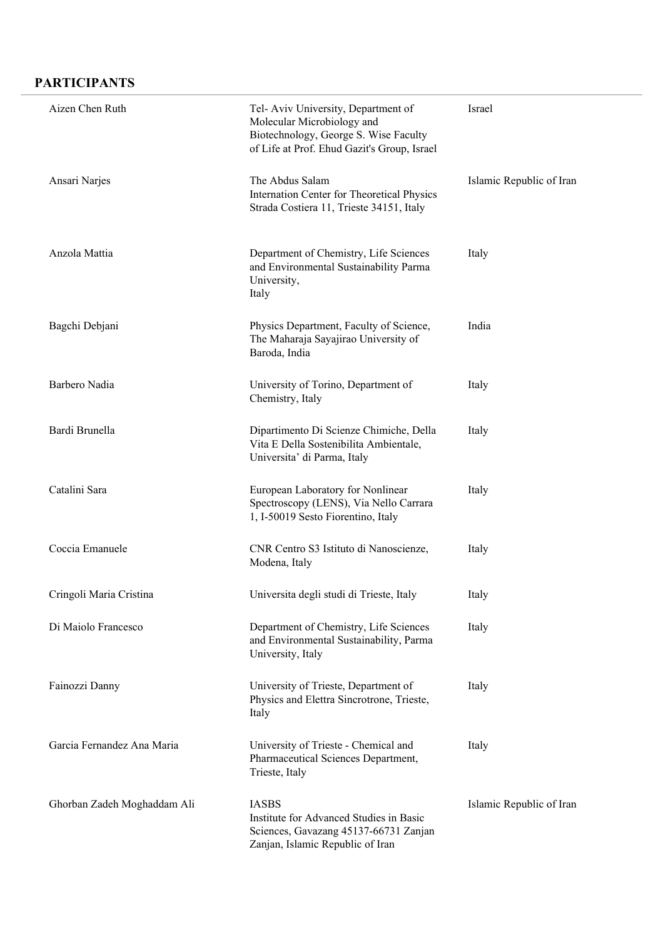## **PARTICIPANTS**

| Aizen Chen Ruth             | Tel-Aviv University, Department of<br>Molecular Microbiology and<br>Biotechnology, George S. Wise Faculty<br>of Life at Prof. Ehud Gazit's Group, Israel | Israel                   |
|-----------------------------|----------------------------------------------------------------------------------------------------------------------------------------------------------|--------------------------|
| Ansari Narjes               | The Abdus Salam<br>Internation Center for Theoretical Physics<br>Strada Costiera 11, Trieste 34151, Italy                                                | Islamic Republic of Iran |
| Anzola Mattia               | Department of Chemistry, Life Sciences<br>and Environmental Sustainability Parma<br>University,<br>Italy                                                 | Italy                    |
| Bagchi Debjani              | Physics Department, Faculty of Science,<br>The Maharaja Sayajirao University of<br>Baroda, India                                                         | India                    |
| Barbero Nadia               | University of Torino, Department of<br>Chemistry, Italy                                                                                                  | Italy                    |
| Bardi Brunella              | Dipartimento Di Scienze Chimiche, Della<br>Vita E Della Sostenibilita Ambientale,<br>Universita' di Parma, Italy                                         | Italy                    |
| Catalini Sara               | European Laboratory for Nonlinear<br>Spectroscopy (LENS), Via Nello Carrara<br>1, I-50019 Sesto Fiorentino, Italy                                        | Italy                    |
| Coccia Emanuele             | CNR Centro S3 Istituto di Nanoscienze,<br>Modena, Italy                                                                                                  | Italy                    |
| Cringoli Maria Cristina     | Universita degli studi di Trieste, Italy                                                                                                                 | Italy                    |
| Di Maiolo Francesco         | Department of Chemistry, Life Sciences<br>and Environmental Sustainability, Parma<br>University, Italy                                                   | Italy                    |
| Fainozzi Danny              | University of Trieste, Department of<br>Physics and Elettra Sincrotrone, Trieste,<br>Italy                                                               | Italy                    |
| Garcia Fernandez Ana Maria  | University of Trieste - Chemical and<br>Pharmaceutical Sciences Department,<br>Trieste, Italy                                                            | Italy                    |
| Ghorban Zadeh Moghaddam Ali | <b>IASBS</b><br>Institute for Advanced Studies in Basic<br>Sciences, Gavazang 45137-66731 Zanjan<br>Zanjan, Islamic Republic of Iran                     | Islamic Republic of Iran |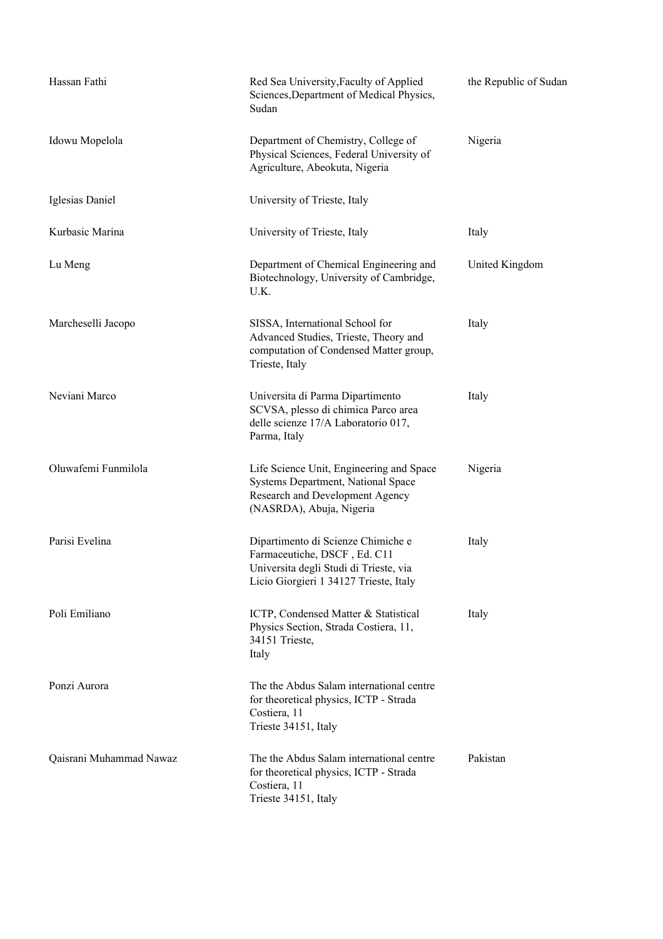| Hassan Fathi            | Red Sea University, Faculty of Applied<br>Sciences, Department of Medical Physics,<br>Sudan                                                            | the Republic of Sudan |
|-------------------------|--------------------------------------------------------------------------------------------------------------------------------------------------------|-----------------------|
| Idowu Mopelola          | Department of Chemistry, College of<br>Physical Sciences, Federal University of<br>Agriculture, Abeokuta, Nigeria                                      | Nigeria               |
| Iglesias Daniel         | University of Trieste, Italy                                                                                                                           |                       |
| Kurbasic Marina         | University of Trieste, Italy                                                                                                                           | Italy                 |
| Lu Meng                 | Department of Chemical Engineering and<br>Biotechnology, University of Cambridge,<br>U.K.                                                              | United Kingdom        |
| Marcheselli Jacopo      | SISSA, International School for<br>Advanced Studies, Trieste, Theory and<br>computation of Condensed Matter group,<br>Trieste, Italy                   | Italy                 |
| Neviani Marco           | Universita di Parma Dipartimento<br>SCVSA, plesso di chimica Parco area<br>delle scienze 17/A Laboratorio 017,<br>Parma, Italy                         | Italy                 |
| Oluwafemi Funmilola     | Life Science Unit, Engineering and Space<br>Systems Department, National Space<br>Research and Development Agency<br>(NASRDA), Abuja, Nigeria          | Nigeria               |
| Parisi Evelina          | Dipartimento di Scienze Chimiche e<br>Farmaceutiche, DSCF, Ed. C11<br>Universita degli Studi di Trieste, via<br>Licio Giorgieri 1 34127 Trieste, Italy | Italy                 |
| Poli Emiliano           | ICTP, Condensed Matter & Statistical<br>Physics Section, Strada Costiera, 11,<br>34151 Trieste,<br>Italy                                               | Italy                 |
| Ponzi Aurora            | The the Abdus Salam international centre<br>for theoretical physics, ICTP - Strada<br>Costiera, 11<br>Trieste 34151, Italy                             |                       |
| Qaisrani Muhammad Nawaz | The the Abdus Salam international centre<br>for theoretical physics, ICTP - Strada<br>Costiera, 11<br>Trieste 34151, Italy                             | Pakistan              |